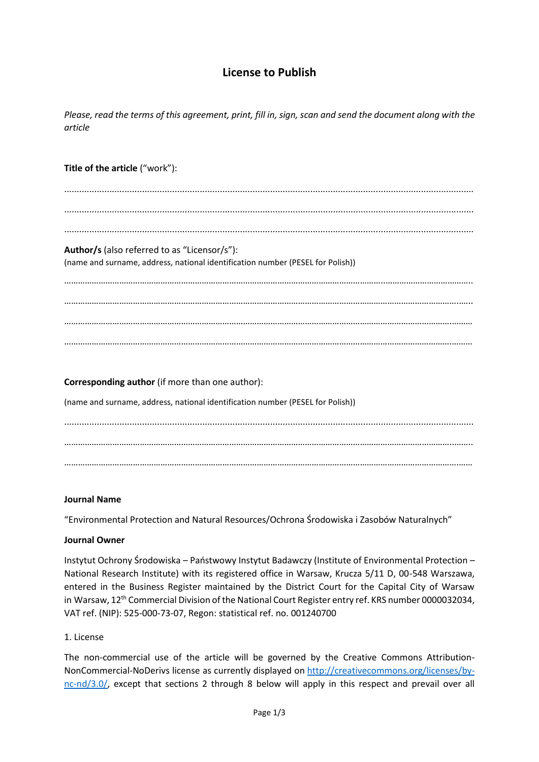# **License to Publish**

*Please, read the terms of this agreement, print, fill in, sign, scan and send the document along with the article*

### **Title of the article** ("work"):

................................................................................................................................................................... ................................................................................................................................................................... ...................................................................................................................................................................

## **Author/s** (also referred to as "Licensor/s"):

(name and surname, address, national identification number (PESEL for Polish))

…………………………………………………………………………………………………………………………..……………………………….. ………………………………………………………………………………………………………………………………………………………..….. …………………………………………………………………………………………………………………………………………………….……… …………………………………………………………………………………………………………………………………………………….………

**Corresponding author** (if more than one author): (name and surname, address, national identification number (PESEL for Polish)) ................................................................................................................................................................... ……………………………………………………………………………………………………………………………………………………..…….. ……………………………………………………………………………………………………………………………………………………….……

#### **Journal Name**

"Environmental Protection and Natural Resources/Ochrona Środowiska i Zasobów Naturalnych"

#### **Journal Owner**

Instytut Ochrony Środowiska – Państwowy Instytut Badawczy (Institute of Environmental Protection – National Research Institute) with its registered office in Warsaw, Krucza 5/11 D, 00-548 Warszawa, entered in the Business Register maintained by the District Court for the Capital City of Warsaw in Warsaw, 12<sup>th</sup> Commercial Division of the National Court Register entry ref. KRS number 0000032034, VAT ref. (NIP): 525-000-73-07, Regon: statistical ref. no. 001240700

#### 1. License

The non-commercial use of the article will be governed by the Creative Commons Attribution-NonCommercial-NoDerivs license as currently displayed on [http://creativecommons.org/licenses/by](http://creativecommons.org/licenses/by-nc-nd/3.0/)[nc-nd/3.0/,](http://creativecommons.org/licenses/by-nc-nd/3.0/) except that sections 2 through 8 below will apply in this respect and prevail over all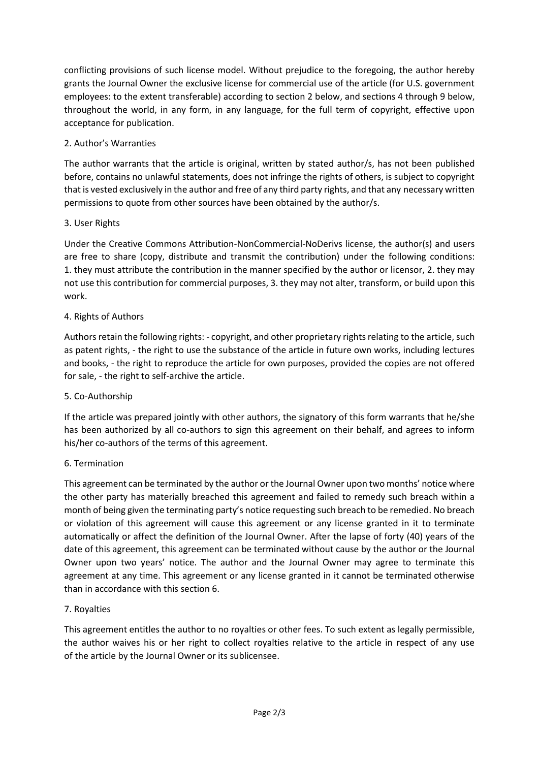conflicting provisions of such license model. Without prejudice to the foregoing, the author hereby grants the Journal Owner the exclusive license for commercial use of the article (for U.S. government employees: to the extent transferable) according to section 2 below, and sections 4 through 9 below, throughout the world, in any form, in any language, for the full term of copyright, effective upon acceptance for publication.

## 2. Author's Warranties

The author warrants that the article is original, written by stated author/s, has not been published before, contains no unlawful statements, does not infringe the rights of others, is subject to copyright that is vested exclusively in the author and free of any third party rights, and that any necessary written permissions to quote from other sources have been obtained by the author/s.

## 3. User Rights

Under the Creative Commons Attribution-NonCommercial-NoDerivs license, the author(s) and users are free to share (copy, distribute and transmit the contribution) under the following conditions: 1. they must attribute the contribution in the manner specified by the author or licensor, 2. they may not use this contribution for commercial purposes, 3. they may not alter, transform, or build upon this work.

## 4. Rights of Authors

Authors retain the following rights: - copyright, and other proprietary rights relating to the article, such as patent rights, - the right to use the substance of the article in future own works, including lectures and books, - the right to reproduce the article for own purposes, provided the copies are not offered for sale, - the right to self-archive the article.

## 5. Co-Authorship

If the article was prepared jointly with other authors, the signatory of this form warrants that he/she has been authorized by all co-authors to sign this agreement on their behalf, and agrees to inform his/her co-authors of the terms of this agreement.

## 6. Termination

This agreement can be terminated by the author or the Journal Owner upon two months' notice where the other party has materially breached this agreement and failed to remedy such breach within a month of being given the terminating party's notice requesting such breach to be remedied. No breach or violation of this agreement will cause this agreement or any license granted in it to terminate automatically or affect the definition of the Journal Owner. After the lapse of forty (40) years of the date of this agreement, this agreement can be terminated without cause by the author or the Journal Owner upon two years' notice. The author and the Journal Owner may agree to terminate this agreement at any time. This agreement or any license granted in it cannot be terminated otherwise than in accordance with this section 6.

## 7. Royalties

This agreement entitles the author to no royalties or other fees. To such extent as legally permissible, the author waives his or her right to collect royalties relative to the article in respect of any use of the article by the Journal Owner or its sublicensee.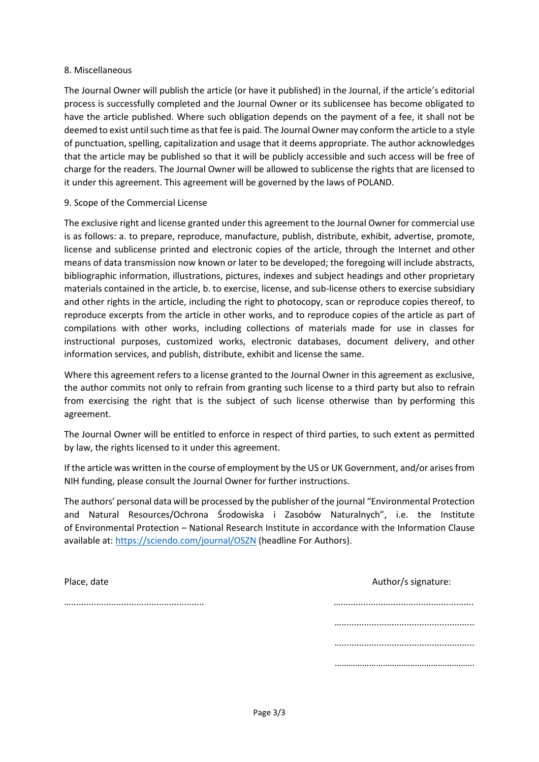#### 8. Miscellaneous

The Journal Owner will publish the article (or have it published) in the Journal, if the article's editorial process is successfully completed and the Journal Owner or its sublicensee has become obligated to have the article published. Where such obligation depends on the payment of a fee, it shall not be deemed to exist until such time as that fee is paid. The Journal Owner may conform the article to a style of punctuation, spelling, capitalization and usage that it deems appropriate. The author acknowledges that the article may be published so that it will be publicly accessible and such access will be free of charge for the readers. The Journal Owner will be allowed to sublicense the rights that are licensed to it under this agreement. This agreement will be governed by the laws of POLAND.

### 9. Scope of the Commercial License

The exclusive right and license granted under this agreement to the Journal Owner for commercial use is as follows: a. to prepare, reproduce, manufacture, publish, distribute, exhibit, advertise, promote, license and sublicense printed and electronic copies of the article, through the Internet and other means of data transmission now known or later to be developed; the foregoing will include abstracts, bibliographic information, illustrations, pictures, indexes and subject headings and other proprietary materials contained in the article, b. to exercise, license, and sub-license others to exercise subsidiary and other rights in the article, including the right to photocopy, scan or reproduce copies thereof, to reproduce excerpts from the article in other works, and to reproduce copies of the article as part of compilations with other works, including collections of materials made for use in classes for instructional purposes, customized works, electronic databases, document delivery, and other information services, and publish, distribute, exhibit and license the same.

Where this agreement refers to a license granted to the Journal Owner in this agreement as exclusive, the author commits not only to refrain from granting such license to a third party but also to refrain from exercising the right that is the subject of such license otherwise than by performing this agreement.

The Journal Owner will be entitled to enforce in respect of third parties, to such extent as permitted by law, the rights licensed to it under this agreement.

If the article was written in the course of employment by the US or UK Government, and/or arises from NIH funding, please consult the Journal Owner for further instructions.

The authors' personal data will be processed by the publisher of the journal "Environmental Protection and Natural Resources/Ochrona Środowiska i Zasobów Naturalnych", i.e. the Institute of Environmental Protection – National Research Institute in accordance with the Information Clause available at: <https://sciendo.com/journal/OSZN> (headline For Authors).

| Place, date | Author/s signature: |
|-------------|---------------------|
|             |                     |
|             |                     |
|             |                     |
|             |                     |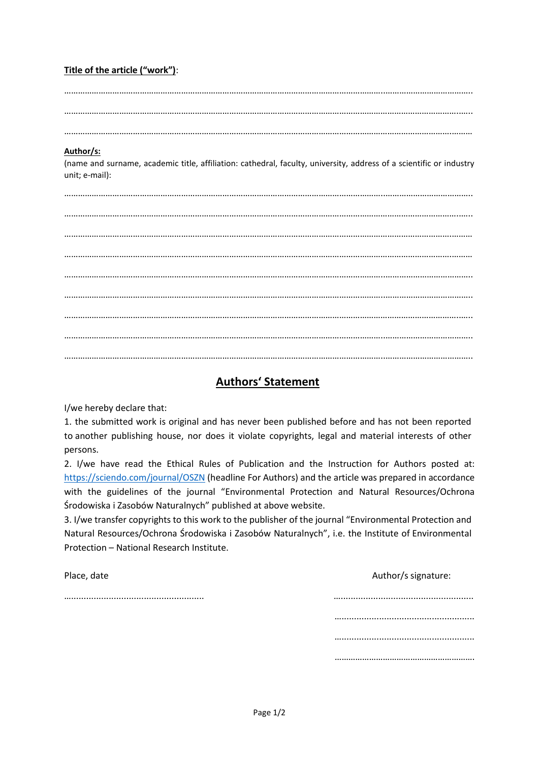## **Title of the article ("work")**:

…………………………………………………………………………………………………………………………..……………………………….. ………………………………………………………………………………………………………………………………………………………..…..

…………………………………………………………………………………………………………………………………………………….………

### **Author/s:**

(name and surname, academic title, affiliation: cathedral, faculty, university, address of a scientific or industry unit; e-mail):

…………………………………………………………………………………………………………………………..……………………………….. ………………………………………………………………………………………………………………………………………………………..….. …………………………………………………………………………………………………………………………………………………….……… …………………………………………………………………………………………………………………………………………………….……… …………………………………………………………………………………………………………………………..……………………………….. ………………………………………………………………………………………………………………………………………………………..….. …………………………………………………………………………………………………………………………..……………………………….. …………………………………………………………………………………………………………………………..………………………………..

# **Authors' Statement**

I/we hereby declare that:

1. the submitted work is original and has never been published before and has not been reported to another publishing house, nor does it violate copyrights, legal and material interests of other persons.

2. I/we have read the Ethical Rules of Publication and the Instruction for Authors posted at: <https://sciendo.com/journal/OSZN> (headline For Authors) and the article was prepared in accordance with the guidelines of the journal "Environmental Protection and Natural Resources/Ochrona Środowiska i Zasobów Naturalnych" published at above website.

3. I/we transfer copyrights to this work to the publisher of the journal "Environmental Protection and Natural Resources/Ochrona Środowiska i Zasobów Naturalnych", i.e. the Institute of Environmental Protection – National Research Institute.

Place, date Author/s signature:

…..................................................... ….....................................................

………………………………………………………………… …………………………………………………………… …………………………………………………….